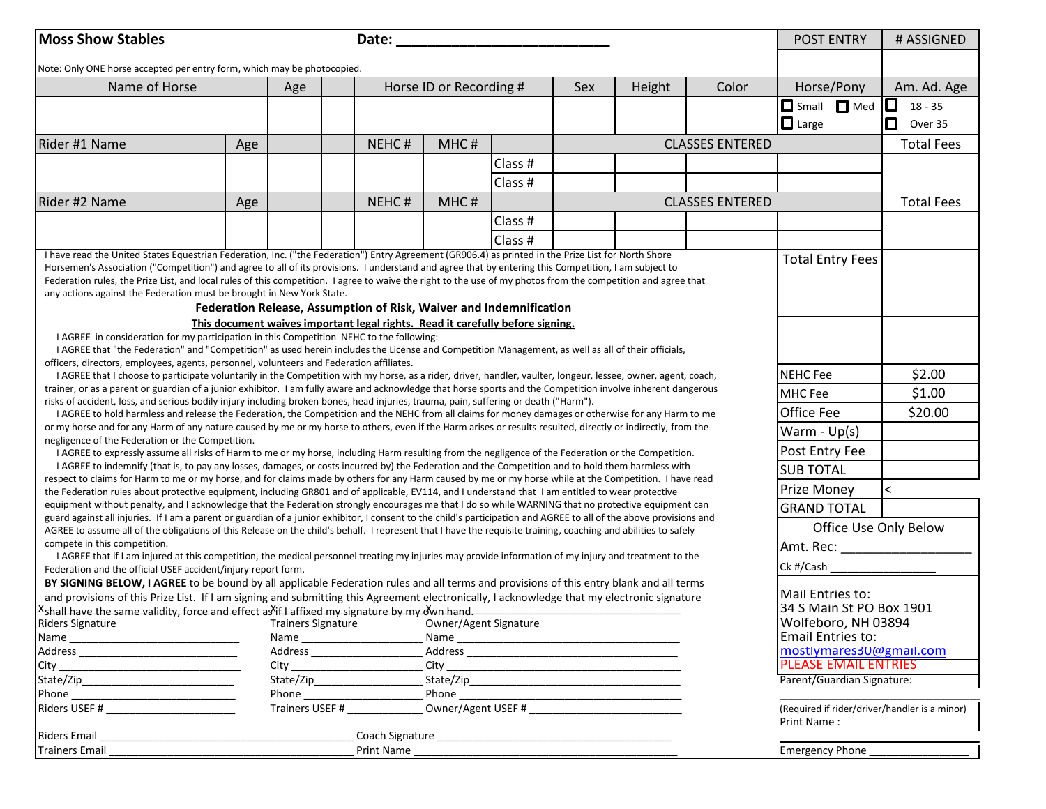| <b>Moss Show Stables</b>                                                                                                                                                                                                                                                                                                   |     | Date: $\frac{1}{\sqrt{1-\frac{1}{2}}\cdot\frac{1}{2}}$ |                                                                                |      |         |     |        |                        | <b>POST ENTRY</b>           |                                               | # ASSIGNED        |
|----------------------------------------------------------------------------------------------------------------------------------------------------------------------------------------------------------------------------------------------------------------------------------------------------------------------------|-----|--------------------------------------------------------|--------------------------------------------------------------------------------|------|---------|-----|--------|------------------------|-----------------------------|-----------------------------------------------|-------------------|
| Note: Only ONE horse accepted per entry form, which may be photocopied.                                                                                                                                                                                                                                                    |     |                                                        |                                                                                |      |         |     |        |                        |                             |                                               |                   |
| Name of Horse                                                                                                                                                                                                                                                                                                              |     | Horse ID or Recording #<br>Age                         |                                                                                |      |         | Sex | Height | Color                  | Horse/Pony                  |                                               | Am. Ad. Age       |
|                                                                                                                                                                                                                                                                                                                            |     |                                                        |                                                                                |      |         |     |        |                        | Small <b>O</b> Med          |                                               | 0<br>$18 - 35$    |
|                                                                                                                                                                                                                                                                                                                            |     |                                                        |                                                                                |      |         |     |        |                        | $\Box$ Large                |                                               | 0<br>Over 35      |
| Rider #1 Name                                                                                                                                                                                                                                                                                                              | Age |                                                        | NEHC#                                                                          | MHC# |         |     |        | <b>CLASSES ENTERED</b> |                             |                                               | <b>Total Fees</b> |
|                                                                                                                                                                                                                                                                                                                            |     |                                                        |                                                                                |      | Class # |     |        |                        |                             |                                               |                   |
|                                                                                                                                                                                                                                                                                                                            |     |                                                        |                                                                                |      | Class # |     |        |                        |                             |                                               |                   |
| Rider #2 Name                                                                                                                                                                                                                                                                                                              | Age |                                                        | NEHC#                                                                          | MHC# |         |     |        | <b>CLASSES ENTERED</b> |                             |                                               | <b>Total Fees</b> |
|                                                                                                                                                                                                                                                                                                                            |     |                                                        |                                                                                |      | Class # |     |        |                        |                             |                                               |                   |
|                                                                                                                                                                                                                                                                                                                            |     |                                                        |                                                                                |      | Class # |     |        |                        |                             |                                               |                   |
| I have read the United States Equestrian Federation, Inc. ("the Federation") Entry Agreement (GR906.4) as printed in the Prize List for North Shore                                                                                                                                                                        |     |                                                        |                                                                                |      |         |     |        |                        | <b>Total Entry Fees</b>     |                                               |                   |
| Horsemen's Association ("Competition") and agree to all of its provisions. I understand and agree that by entering this Competition, I am subject to<br>Federation rules, the Prize List, and local rules of this competition. I agree to waive the right to the use of my photos from the competition and agree that      |     |                                                        |                                                                                |      |         |     |        |                        |                             |                                               |                   |
| any actions against the Federation must be brought in New York State.                                                                                                                                                                                                                                                      |     |                                                        |                                                                                |      |         |     |        |                        |                             |                                               |                   |
|                                                                                                                                                                                                                                                                                                                            |     |                                                        | Federation Release, Assumption of Risk, Waiver and Indemnification             |      |         |     |        |                        |                             |                                               |                   |
|                                                                                                                                                                                                                                                                                                                            |     |                                                        | This document waives important legal rights. Read it carefully before signing. |      |         |     |        |                        |                             |                                               |                   |
| I AGREE in consideration for my participation in this Competition NEHC to the following:                                                                                                                                                                                                                                   |     |                                                        |                                                                                |      |         |     |        |                        |                             |                                               |                   |
| I AGREE that "the Federation" and "Competition" as used herein includes the License and Competition Management, as well as all of their officials,                                                                                                                                                                         |     |                                                        |                                                                                |      |         |     |        |                        |                             |                                               |                   |
| officers, directors, employees, agents, personnel, volunteers and Federation affiliates.                                                                                                                                                                                                                                   |     |                                                        |                                                                                |      |         |     |        |                        |                             |                                               |                   |
| I AGREE that I choose to participate voluntarily in the Competition with my horse, as a rider, driver, handler, vaulter, longeur, lessee, owner, agent, coach,                                                                                                                                                             |     |                                                        |                                                                                |      |         |     |        |                        | <b>NEHC</b> Fee             |                                               | \$2.00            |
| trainer, or as a parent or guardian of a junior exhibitor. I am fully aware and acknowledge that horse sports and the Competition involve inherent dangerous<br>risks of accident, loss, and serious bodily injury including broken bones, head injuries, trauma, pain, suffering or death ("Harm").                       |     |                                                        |                                                                                |      |         |     |        |                        | MHC Fee                     |                                               | \$1.00            |
| I AGREE to hold harmless and release the Federation, the Competition and the NEHC from all claims for money damages or otherwise for any Harm to me                                                                                                                                                                        |     |                                                        |                                                                                |      |         |     |        |                        | Office Fee                  |                                               | \$20.00           |
| or my horse and for any Harm of any nature caused by me or my horse to others, even if the Harm arises or results resulted, directly or indirectly, from the                                                                                                                                                               |     |                                                        |                                                                                |      |         |     |        |                        | Warm - $Up(s)$              |                                               |                   |
| negligence of the Federation or the Competition.<br>I AGREE to expressly assume all risks of Harm to me or my horse, including Harm resulting from the negligence of the Federation or the Competition.                                                                                                                    |     |                                                        |                                                                                |      |         |     |        |                        | Post Entry Fee              |                                               |                   |
| I AGREE to indemnify (that is, to pay any losses, damages, or costs incurred by) the Federation and the Competition and to hold them harmless with                                                                                                                                                                         |     |                                                        |                                                                                |      |         |     |        |                        | <b>SUB TOTAL</b>            |                                               |                   |
| respect to claims for Harm to me or my horse, and for claims made by others for any Harm caused by me or my horse while at the Competition. I have read                                                                                                                                                                    |     |                                                        |                                                                                |      |         |     |        |                        |                             |                                               |                   |
| the Federation rules about protective equipment, including GR801 and of applicable, EV114, and I understand that I am entitled to wear protective                                                                                                                                                                          |     |                                                        |                                                                                |      |         |     |        |                        | Prize Money                 |                                               | ≺                 |
| equipment without penalty, and I acknowledge that the Federation strongly encourages me that I do so while WARNING that no protective equipment can<br>guard against all injuries. If I am a parent or guardian of a junior exhibitor, I consent to the child's participation and AGREE to all of the above provisions and |     |                                                        |                                                                                |      |         |     |        |                        | <b>GRAND TOTAL</b>          |                                               |                   |
| AGREE to assume all of the obligations of this Release on the child's behalf. I represent that I have the requisite training, coaching and abilities to safely                                                                                                                                                             |     |                                                        |                                                                                |      |         |     |        |                        | Office Use Only Below       |                                               |                   |
| compete in this competition.                                                                                                                                                                                                                                                                                               |     |                                                        |                                                                                |      |         |     |        |                        | Amt. Rec: _________________ |                                               |                   |
| I AGREE that if I am injured at this competition, the medical personnel treating my injuries may provide information of my injury and treatment to the<br>Federation and the official USEF accident/injury report form.                                                                                                    |     |                                                        |                                                                                |      |         |     |        |                        | Ck #/Cash                   |                                               |                   |
| BY SIGNING BELOW, I AGREE to be bound by all applicable Federation rules and all terms and provisions of this entry blank and all terms                                                                                                                                                                                    |     |                                                        |                                                                                |      |         |     |        |                        |                             |                                               |                   |
|                                                                                                                                                                                                                                                                                                                            |     |                                                        |                                                                                |      |         |     |        |                        | Mail Entries to:            |                                               |                   |
| and provisions of this Prize List. If I am signing and submitting this Agreement electronically, I acknowledge that my electronic signature<br>$^{\text{X}}$ shall have the same validity, force and effect as if I affixed my signature by my own hand.                                                                   |     |                                                        |                                                                                |      |         |     |        |                        | 34 S Main St PO Box 1901    |                                               |                   |
| Riders Signature<br><b>Trainers Signature</b><br>Owner/Agent Signature                                                                                                                                                                                                                                                     |     |                                                        |                                                                                |      |         |     |        |                        | Wolfeboro, NH 03894         |                                               |                   |
|                                                                                                                                                                                                                                                                                                                            |     |                                                        |                                                                                |      |         |     |        |                        | Email Entries to:           |                                               |                   |
|                                                                                                                                                                                                                                                                                                                            |     |                                                        |                                                                                |      |         |     |        |                        | mostlymares30@gmail.com     |                                               |                   |
|                                                                                                                                                                                                                                                                                                                            |     |                                                        |                                                                                |      |         |     |        |                        | <b>PLEASE EMAIL ENTRIES</b> |                                               |                   |
|                                                                                                                                                                                                                                                                                                                            |     |                                                        |                                                                                |      |         |     |        |                        | Parent/Guardian Signature:  |                                               |                   |
|                                                                                                                                                                                                                                                                                                                            |     |                                                        |                                                                                |      |         |     |        |                        |                             |                                               |                   |
|                                                                                                                                                                                                                                                                                                                            |     | Trainers USEF # _______________<br>Print Name:         |                                                                                |      |         |     |        |                        |                             | (Required if rider/driver/handler is a minor) |                   |
| Riders Email                                                                                                                                                                                                                                                                                                               |     |                                                        |                                                                                |      |         |     |        |                        |                             |                                               |                   |
| <b>Trainers Email</b>                                                                                                                                                                                                                                                                                                      |     |                                                        |                                                                                |      |         |     |        |                        | Emergency Phone             |                                               |                   |